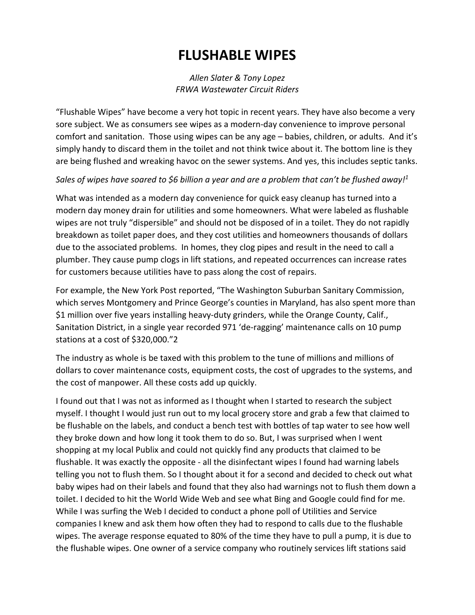## **FLUSHABLE WIPES**

## *Allen Slater & Tony Lopez FRWA Wastewater Circuit Riders*

"Flushable Wipes" have become a very hot topic in recent years. They have also become a very sore subject. We as consumers see wipes as a modern‐day convenience to improve personal comfort and sanitation. Those using wipes can be any age – babies, children, or adults. And it's simply handy to discard them in the toilet and not think twice about it. The bottom line is they are being flushed and wreaking havoc on the sewer systems. And yes, this includes septic tanks.

## *Sales of wipes have soared to \$6 billion a year and are a problem that can't be flushed away!1*

What was intended as a modern day convenience for quick easy cleanup has turned into a modern day money drain for utilities and some homeowners. What were labeled as flushable wipes are not truly "dispersible" and should not be disposed of in a toilet. They do not rapidly breakdown as toilet paper does, and they cost utilities and homeowners thousands of dollars due to the associated problems. In homes, they clog pipes and result in the need to call a plumber. They cause pump clogs in lift stations, and repeated occurrences can increase rates for customers because utilities have to pass along the cost of repairs.

For example, the New York Post reported, "The Washington Suburban Sanitary Commission, which serves Montgomery and Prince George's counties in Maryland, has also spent more than \$1 million over five years installing heavy‐duty grinders, while the Orange County, Calif., Sanitation District, in a single year recorded 971 'de-ragging' maintenance calls on 10 pump stations at a cost of \$320,000."2

The industry as whole is be taxed with this problem to the tune of millions and millions of dollars to cover maintenance costs, equipment costs, the cost of upgrades to the systems, and the cost of manpower. All these costs add up quickly.

I found out that I was not as informed as I thought when I started to research the subject myself. I thought I would just run out to my local grocery store and grab a few that claimed to be flushable on the labels, and conduct a bench test with bottles of tap water to see how well they broke down and how long it took them to do so. But, I was surprised when I went shopping at my local Publix and could not quickly find any products that claimed to be flushable. It was exactly the opposite ‐ all the disinfectant wipes I found had warning labels telling you not to flush them. So I thought about it for a second and decided to check out what baby wipes had on their labels and found that they also had warnings not to flush them down a toilet. I decided to hit the World Wide Web and see what Bing and Google could find for me. While I was surfing the Web I decided to conduct a phone poll of Utilities and Service companies I knew and ask them how often they had to respond to calls due to the flushable wipes. The average response equated to 80% of the time they have to pull a pump, it is due to the flushable wipes. One owner of a service company who routinely services lift stations said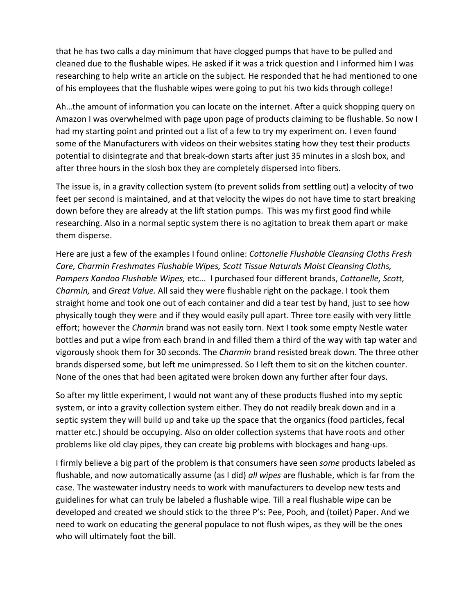that he has two calls a day minimum that have clogged pumps that have to be pulled and cleaned due to the flushable wipes. He asked if it was a trick question and I informed him I was researching to help write an article on the subject. He responded that he had mentioned to one of his employees that the flushable wipes were going to put his two kids through college!

Ah…the amount of information you can locate on the internet. After a quick shopping query on Amazon I was overwhelmed with page upon page of products claiming to be flushable. So now I had my starting point and printed out a list of a few to try my experiment on. I even found some of the Manufacturers with videos on their websites stating how they test their products potential to disintegrate and that break‐down starts after just 35 minutes in a slosh box, and after three hours in the slosh box they are completely dispersed into fibers.

The issue is, in a gravity collection system (to prevent solids from settling out) a velocity of two feet per second is maintained, and at that velocity the wipes do not have time to start breaking down before they are already at the lift station pumps. This was my first good find while researching. Also in a normal septic system there is no agitation to break them apart or make them disperse.

Here are just a few of the examples I found online: *Cottonelle Flushable Cleansing Cloths Fresh Care, Charmin Freshmates Flushable Wipes, Scott Tissue Naturals Moist Cleansing Cloths, Pampers Kandoo Flushable Wipes,* etc... I purchased four different brands, *Cottonelle, Scott, Charmin,* and *Great Value.* All said they were flushable right on the package. I took them straight home and took one out of each container and did a tear test by hand, just to see how physically tough they were and if they would easily pull apart. Three tore easily with very little effort; however the *Charmin* brand was not easily torn. Next I took some empty Nestle water bottles and put a wipe from each brand in and filled them a third of the way with tap water and vigorously shook them for 30 seconds. The *Charmin* brand resisted break down. The three other brands dispersed some, but left me unimpressed. So I left them to sit on the kitchen counter. None of the ones that had been agitated were broken down any further after four days.

So after my little experiment, I would not want any of these products flushed into my septic system, or into a gravity collection system either. They do not readily break down and in a septic system they will build up and take up the space that the organics (food particles, fecal matter etc.) should be occupying. Also on older collection systems that have roots and other problems like old clay pipes, they can create big problems with blockages and hang‐ups.

I firmly believe a big part of the problem is that consumers have seen *some* products labeled as flushable, and now automatically assume (as I did) *all wipes* are flushable, which is far from the case. The wastewater industry needs to work with manufacturers to develop new tests and guidelines for what can truly be labeled a flushable wipe. Till a real flushable wipe can be developed and created we should stick to the three P's: Pee, Pooh, and (toilet) Paper. And we need to work on educating the general populace to not flush wipes, as they will be the ones who will ultimately foot the bill.